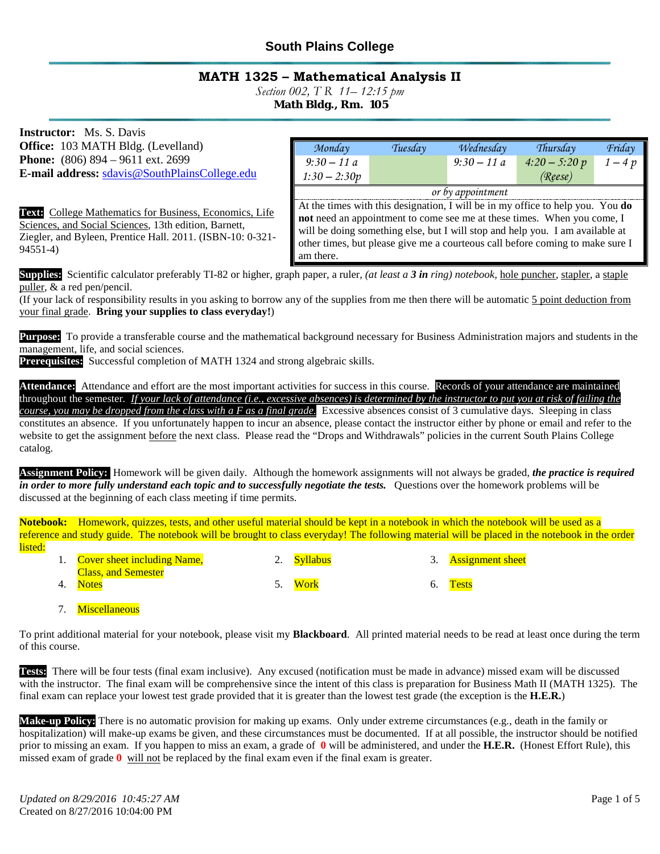## **South Plains College**

### **MATH 1325 – Mathematical Analysis II**

*Section 002, T R 11– 12:15 pm*

**Math Bldg., Rm. 105**

| <b>Instructor:</b> Ms. S. Davis                                |                                                                                                                                                        |         |              |                 |        |
|----------------------------------------------------------------|--------------------------------------------------------------------------------------------------------------------------------------------------------|---------|--------------|-----------------|--------|
| <b>Office:</b> 103 MATH Bldg. (Levelland)                      | Monday                                                                                                                                                 | Tuesday | Wednesday    | Thursday        | Friday |
| <b>Phone:</b> $(806) 894 - 9611 \text{ ext. } 2699$            | $9:30 - 11a$                                                                                                                                           |         | $9:30 - 11a$ | $4:20 - 5:20 p$ | $1-4p$ |
| E-mail address: sdavis@SouthPlainsCollege.edu                  | $1:30 - 2:30p$                                                                                                                                         |         |              | (Reese)         |        |
|                                                                | or by appointment                                                                                                                                      |         |              |                 |        |
| <b>Text:</b> College Mathematics for Business, Economics, Life | At the times with this designation, I will be in my office to help you. You do<br>not need an appointment to come see me at these times. When you come |         |              |                 |        |

Sciences, and Social Sciences, 13th edition, Barnett, Ziegler, and Byleen, Prentice Hall. 2011. (ISBN-10: 0-321- 94551-4)

|                                                                                | or by appointment |  |  |
|--------------------------------------------------------------------------------|-------------------|--|--|
| At the times with this designation, I will be in my office to help you. You do |                   |  |  |
| <b>not</b> need an appointment to come see me at these times. When you come, I |                   |  |  |
| will be doing something else, but I will stop and help you. I am available at  |                   |  |  |
| other times, but please give me a courteous call before coming to make sure I  |                   |  |  |
| am there.                                                                      |                   |  |  |

**Supplies:** Scientific calculator preferably TI-82 or higher, graph paper, a ruler, *(at least a 3 in ring) notebook,* hole puncher, stapler, a staple puller, & a red pen/pencil.

(If your lack of responsibility results in you asking to borrow any of the supplies from me then there will be automatic 5 point deduction from your final grade. **Bring your supplies to class everyday!**)

**Purpose:** To provide a transferable course and the mathematical background necessary for Business Administration majors and students in the management, life, and social sciences.

**Prerequisites:** Successful completion of MATH 1324 and strong algebraic skills.

Attendance: Attendance and effort are the most important activities for success in this course. Records of your attendance are maintained throughout the semester*. If your lack of attendance (i.e., excessive absences) is determined by the instructor to put you at risk of failing the course, you may be dropped from the class with a F as a final grade.* Excessive absences consist of 3 cumulative days. Sleeping in class constitutes an absence. If you unfortunately happen to incur an absence, please contact the instructor either by phone or email and refer to the website to get the assignment before the next class. Please read the "Drops and Withdrawals" policies in the current South Plains College catalog.

**Assignment Policy:** Homework will be given daily. Although the homework assignments will not always be graded, *the practice is required in order to more fully understand each topic and to successfully negotiate the tests.* Questions over the homework problems will be discussed at the beginning of each class meeting if time permits.

Notebook: Homework, quizzes, tests, and other useful material should be kept in a notebook in which the notebook will be used as a reference and study guide. The notebook will be brought to class everyday! The following material will be placed in the notebook in the order listed:

|    | <b>Cover sheet including Name,</b><br><b>Class, and Semester</b> | 2. Syllabus | 3. Assignment sheet |
|----|------------------------------------------------------------------|-------------|---------------------|
| 4. | <b>Notes</b>                                                     | Work        | <b>Tests</b>        |

7. Miscellaneous

To print additional material for your notebook, please visit my **Blackboard**. All printed material needs to be read at least once during the term of this course.

**Tests:** There will be four tests (final exam inclusive). Any excused (notification must be made in advance) missed exam will be discussed with the instructor. The final exam will be comprehensive since the intent of this class is preparation for Business Math II (MATH 1325). The final exam can replace your lowest test grade provided that it is greater than the lowest test grade (the exception is the **H.E.R.**)

**Make-up Policy:** There is no automatic provision for making up exams. Only under extreme circumstances (e.g., death in the family or hospitalization) will make-up exams be given, and these circumstances must be documented. If at all possible, the instructor should be notified prior to missing an exam. If you happen to miss an exam, a grade of **0** will be administered, and under the **H.E.R.** (Honest Effort Rule), this missed exam of grade **0** will not be replaced by the final exam even if the final exam is greater.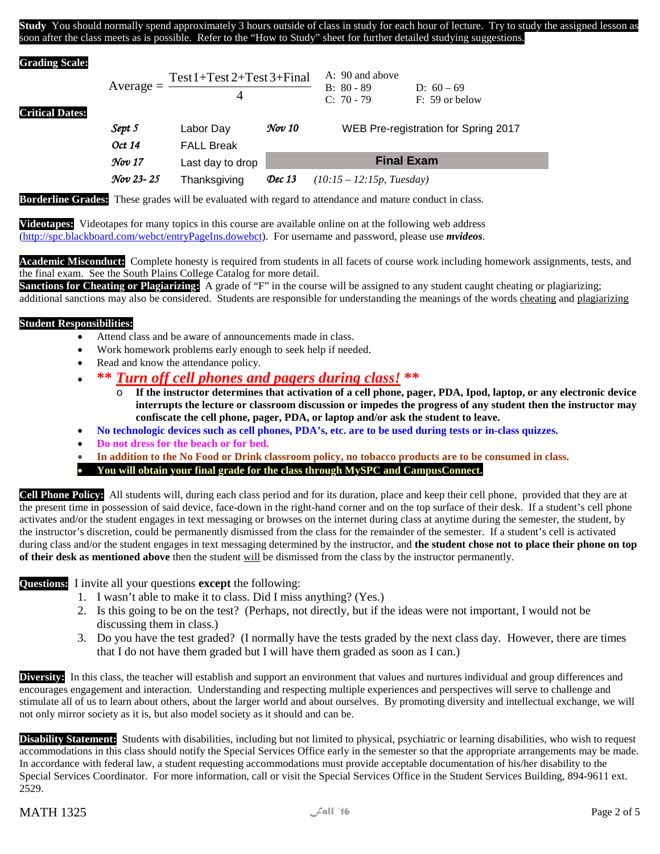**Study** You should normally spend approximately 3 hours outside of class in study for each hour of lecture. Try to study the assigned lesson as soon after the class meets as is possible. Refer to the "How to Study" sheet for further detailed studying suggestions.

#### **Grading Scale:**

**Critical Dates:**

| $Average =$ | $Test 1+Test 2+Test 3+Final$ | A: 90 and above            |                                  |
|-------------|------------------------------|----------------------------|----------------------------------|
|             |                              | $B: 80 - 89$<br>$C: 70-79$ | D: $60 - 69$<br>$F: 59$ or below |
|             |                              |                            |                                  |

| Sept 5<br>Oct 14   | Labor Day<br><b>FALL Break</b> | $\mathcal Nov$ 10   | WEB Pre-registration for Spring 2017 |
|--------------------|--------------------------------|---------------------|--------------------------------------|
| $\mathcal{N}ov$ 17 | Last day to drop               |                     | <b>Final Exam</b>                    |
| Nov 23-25          | Thanksgiving                   | $\mathcal{D}$ ec 13 | $(10:15 - 12:15p, Tuesday)$          |

**Borderline Grades:** These grades will be evaluated with regard to attendance and mature conduct in class.

**Videotapes:** Videotapes for many topics in this course are available online on at the following web address [\(http://spc.blackboard.com/webct/entryPageIns.dowebct\)](http://spc.blackboard.com/webct/entryPageIns.dowebct). For username and password, please use *mvideos*.

Academic Misconduct: Complete honesty is required from students in all facets of course work including homework assignments, tests, and the final exam. See the South Plains College Catalog for more detail.

**Sanctions for Cheating or Plagiarizing:** A grade of "F" in the course will be assigned to any student caught cheating or plagiarizing;

additional sanctions may also be considered. Students are responsible for understanding the meanings of the words cheating and plagiarizing

#### **Student Responsibilities:**

- Attend class and be aware of announcements made in class.
- Work homework problems early enough to seek help if needed.
- Read and know the attendance policy.
- **\*\*** *Turn off cell phones and pagers during class!* **\*\***
	- o **If the instructor determines that activation of a cell phone, pager, PDA, Ipod, laptop, or any electronic device interrupts the lecture or classroom discussion or impedes the progress of any student then the instructor may confiscate the cell phone, pager, PDA, or laptop and/or ask the student to leave.**
- **No technologic devices such as cell phones, PDA's, etc. are to be used during tests or in-class quizzes.**
- **Do not dress for the beach or for bed.**
- **In addition to the No Food or Drink classroom policy, no tobacco products are to be consumed in class.**  • **You will obtain your final grade for the class through MySPC and CampusConnect.**

**Cell Phone Policy:** All students will, during each class period and for its duration, place and keep their cell phone, provided that they are at the present time in possession of said device, face-down in the right-hand corner and on the top surface of their desk. If a student's cell phone activates and/or the student engages in text messaging or browses on the internet during class at anytime during the semester, the student, by the instructor's discretion, could be permanently dismissed from the class for the remainder of the semester. If a student's cell is activated during class and/or the student engages in text messaging determined by the instructor, and **the student chose not to place their phone on top of their desk as mentioned above** then the student will be dismissed from the class by the instructor permanently.

**Questions:** I invite all your questions **except** the following:

- 1. I wasn't able to make it to class. Did I miss anything? (Yes.)
- 2. Is this going to be on the test? (Perhaps, not directly, but if the ideas were not important, I would not be discussing them in class.)
- 3. Do you have the test graded? (I normally have the tests graded by the next class day. However, there are times that I do not have them graded but I will have them graded as soon as I can.)

**Diversity:** In this class, the teacher will establish and support an environment that values and nurtures individual and group differences and encourages engagement and interaction. Understanding and respecting multiple experiences and perspectives will serve to challenge and stimulate all of us to learn about others, about the larger world and about ourselves. By promoting diversity and intellectual exchange, we will not only mirror society as it is, but also model society as it should and can be.

**Disability Statement:** Students with disabilities, including but not limited to physical, psychiatric or learning disabilities, who wish to request accommodations in this class should notify the Special Services Office early in the semester so that the appropriate arrangements may be made. In accordance with federal law, a student requesting accommodations must provide acceptable documentation of his/her disability to the Special Services Coordinator. For more information, call or visit the Special Services Office in the Student Services Building, 894-9611 ext. 2529.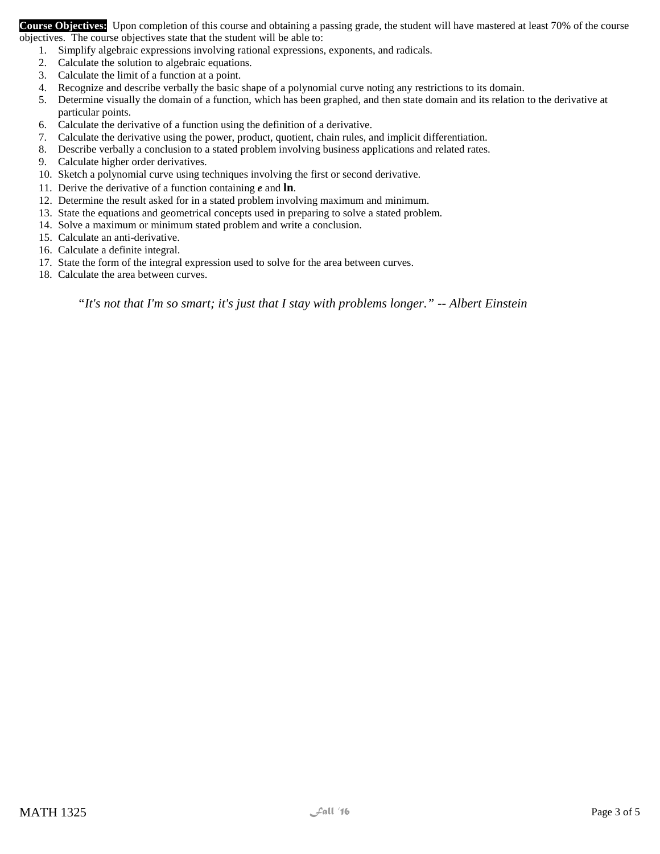**Course Objectives:** Upon completion of this course and obtaining a passing grade, the student will have mastered at least 70% of the course objectives. The course objectives state that the student will be able to:

- 1. Simplify algebraic expressions involving rational expressions, exponents, and radicals.
- 2. Calculate the solution to algebraic equations.
- 3. Calculate the limit of a function at a point.
- 4. Recognize and describe verbally the basic shape of a polynomial curve noting any restrictions to its domain.
- 5. Determine visually the domain of a function, which has been graphed, and then state domain and its relation to the derivative at particular points.
- 6. Calculate the derivative of a function using the definition of a derivative.
- 7. Calculate the derivative using the power, product, quotient, chain rules, and implicit differentiation.
- 8. Describe verbally a conclusion to a stated problem involving business applications and related rates.
- 9. Calculate higher order derivatives.
- 10. Sketch a polynomial curve using techniques involving the first or second derivative.
- 11. Derive the derivative of a function containing *e* and **ln**.
- 12. Determine the result asked for in a stated problem involving maximum and minimum.
- 13. State the equations and geometrical concepts used in preparing to solve a stated problem.
- 14. Solve a maximum or minimum stated problem and write a conclusion.
- 15. Calculate an anti-derivative.
- 16. Calculate a definite integral.
- 17. State the form of the integral expression used to solve for the area between curves.
- 18. Calculate the area between curves.

*"It's not that I'm so smart; it's just that I stay with problems longer." -- Albert Einstein*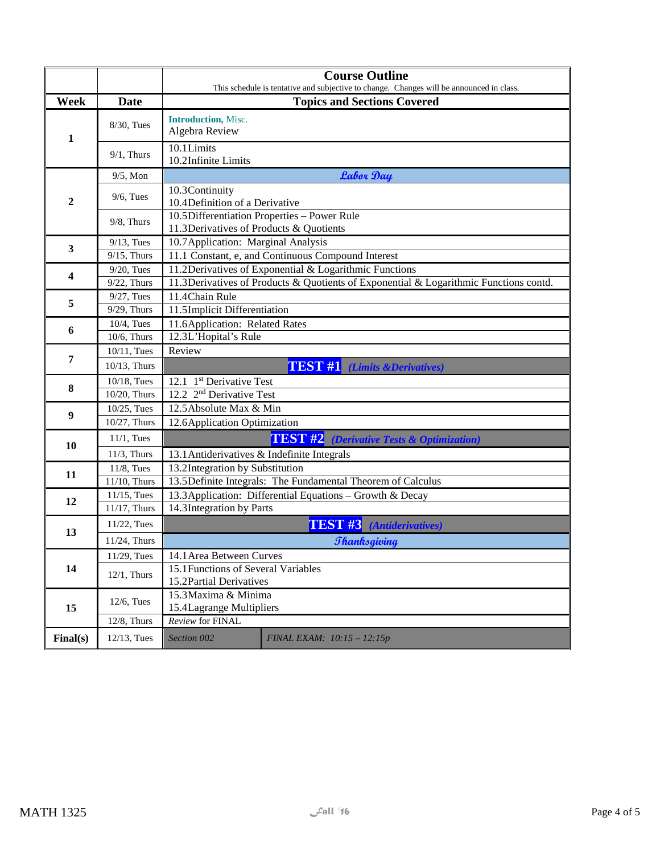|                                  |                | <b>Course Outline</b><br>This schedule is tentative and subjective to change. Changes will be announced in class. |  |  |  |  |  |
|----------------------------------|----------------|-------------------------------------------------------------------------------------------------------------------|--|--|--|--|--|
| Week                             | <b>Date</b>    | <b>Topics and Sections Covered</b>                                                                                |  |  |  |  |  |
|                                  |                | <b>Introduction</b> , Misc.                                                                                       |  |  |  |  |  |
| $\mathbf{1}$                     | 8/30, Tues     | Algebra Review                                                                                                    |  |  |  |  |  |
|                                  | $9/1$ , Thurs  | 10.1Limits<br>10.2Infinite Limits                                                                                 |  |  |  |  |  |
|                                  | $9/5$ , Mon    | <b>Labor Day</b>                                                                                                  |  |  |  |  |  |
| $\boldsymbol{2}$                 | $9/6$ , Tues   | 10.3Continuity<br>10.4Definition of a Derivative                                                                  |  |  |  |  |  |
|                                  | $9/8$ , Thurs  | 10.5Differentiation Properties - Power Rule<br>11.3Derivatives of Products & Quotients                            |  |  |  |  |  |
| 3                                | $9/13$ , Tues  | 10.7 Application: Marginal Analysis                                                                               |  |  |  |  |  |
|                                  | $9/15$ , Thurs | 11.1 Constant, e, and Continuous Compound Interest                                                                |  |  |  |  |  |
| 4                                | $9/20$ , Tues  | 11.2Derivatives of Exponential & Logarithmic Functions                                                            |  |  |  |  |  |
|                                  | $9/22$ , Thurs | 11.3Derivatives of Products & Quotients of Exponential & Logarithmic Functions contd.                             |  |  |  |  |  |
| 5                                | $9/27$ , Tues  | 11.4Chain Rule                                                                                                    |  |  |  |  |  |
|                                  | 9/29, Thurs    | 11.5Implicit Differentiation                                                                                      |  |  |  |  |  |
| 6                                | 10/4, Tues     | 11.6Application: Related Rates                                                                                    |  |  |  |  |  |
|                                  | 10/6, Thurs    | 12.3L'Hopital's Rule<br>Review                                                                                    |  |  |  |  |  |
| 10/11, Tues<br>7<br>10/13, Thurs |                | <b>TEST #1</b> (Limits & Derivatives)                                                                             |  |  |  |  |  |
|                                  | 10/18, Tues    | 12.1 1 <sup>st</sup> Derivative Test                                                                              |  |  |  |  |  |
| 8                                | 10/20, Thurs   | 12.2 2 <sup>nd</sup> Derivative Test                                                                              |  |  |  |  |  |
|                                  | 10/25, Tues    | 12.5 Absolute Max & Min                                                                                           |  |  |  |  |  |
| 9                                | 10/27, Thurs   | 12.6 Application Optimization                                                                                     |  |  |  |  |  |
| 10                               | $11/1$ , Tues  | <b>TEST #2</b> (Derivative Tests & Optimization)                                                                  |  |  |  |  |  |
|                                  | $11/3$ , Thurs | 13.1 Antiderivatives & Indefinite Integrals                                                                       |  |  |  |  |  |
| 11                               | 11/8, Tues     | 13.2Integration by Substitution                                                                                   |  |  |  |  |  |
|                                  | 11/10, Thurs   | 13.5Definite Integrals: The Fundamental Theorem of Calculus                                                       |  |  |  |  |  |
| 12                               | 11/15, Tues    | 13.3 Application: Differential Equations - Growth & Decay                                                         |  |  |  |  |  |
|                                  | 11/17, Thurs   | 14.3 Integration by Parts                                                                                         |  |  |  |  |  |
| 13                               | 11/22, Tues    | TEST <sub>#3</sub><br>(Antiderivatives)                                                                           |  |  |  |  |  |
|                                  | 11/24, Thurs   | <b>Thanksgiving</b>                                                                                               |  |  |  |  |  |
|                                  | 11/29, Tues    | 14.1 Area Between Curves                                                                                          |  |  |  |  |  |
| 14                               | $12/1$ , Thurs | 15.1 Functions of Several Variables<br>15.2Partial Derivatives                                                    |  |  |  |  |  |
|                                  |                | 15.3 Maxima & Minima                                                                                              |  |  |  |  |  |
| 15                               | 12/6, Tues     | 15.4Lagrange Multipliers                                                                                          |  |  |  |  |  |
|                                  | 12/8, Thurs    | Review for FINAL                                                                                                  |  |  |  |  |  |
| Final(s)                         | 12/13, Tues    | Section 002<br>FINAL EXAM: 10:15 - 12:15p                                                                         |  |  |  |  |  |